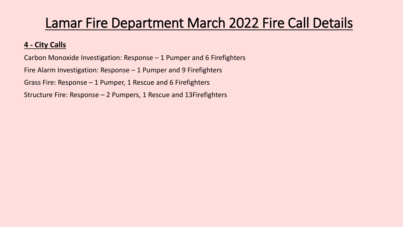## Lamar Fire Department March 2022 Fire Call Details

## **4 - City Calls**

Carbon Monoxide Investigation: Response – 1 Pumper and 6 Firefighters Fire Alarm Investigation: Response – 1 Pumper and 9 Firefighters Grass Fire: Response – 1 Pumper, 1 Rescue and 6 Firefighters

Structure Fire: Response – 2 Pumpers, 1 Rescue and 13Firefighters